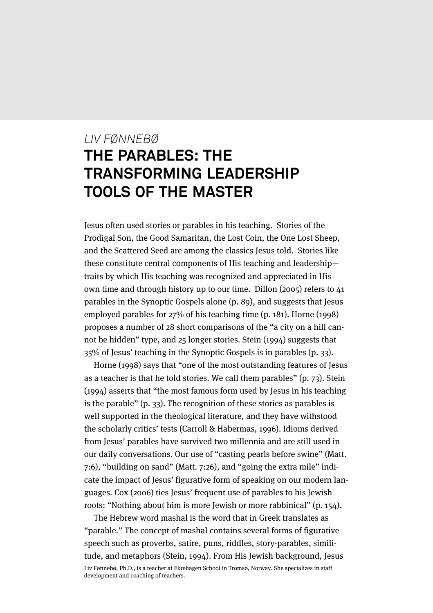# *LIV FØNNEBØ* **THE PARABLES: THE TRANSFORMING LEADERSHIP TOOLS OF THE MASTER**

Jesus often used stories or parables in his teaching. Stories of the Prodigal Son, the Good Samaritan, the Lost Coin, the One Lost Sheep, and the Scattered Seed are among the classics Jesus told. Stories like these constitute central components of His teaching and leadership traits by which His teaching was recognized and appreciated in His own time and through history up to our time. Dillon (2005) refers to 41 parables in the Synoptic Gospels alone (p. 89), and suggests that Jesus employed parables for 27% of his teaching time (p. 181). Horne (1998) proposes a number of 28 short comparisons of the "a city on a hill cannot be hidden" type, and 25 longer stories. Stein (1994) suggests that 35% of Jesus' teaching in the Synoptic Gospels is in parables (p. 33).

Horne (1998) says that "one of the most outstanding features of Jesus as a teacher is that he told stories. We call them parables" (p. 73). Stein (1994) asserts that "the most famous form used by Jesus in his teaching is the parable" (p. 33). The recognition of these stories as parables is well supported in the theological literature, and they have withstood the scholarly critics' tests (Carroll & Habermas, 1996). Idioms derived from Jesus' parables have survived two millennia and are still used in our daily conversations. Our use of "casting pearls before swine" (Matt. 7:6), "building on sand" (Matt. 7:26), and "going the extra mile" indicate the impact of Jesus' figurative form of speaking on our modern languages. Cox (2006) ties Jesus' frequent use of parables to his Jewish roots: "Nothing about him is more Jewish or more rabbinical" (p. 154).

The Hebrew word mashal is the word that in Greek translates as "parable." The concept of mashal contains several forms of figurative speech such as proverbs, satire, puns, riddles, story-parables, similitude, and metaphors (Stein, 1994). From His Jewish background, Jesus

Liv Fønnebø, Ph.D., is a teacher at Ekrehagen School in Tromsø, Norway. She specializes in staff development and coaching of teachers.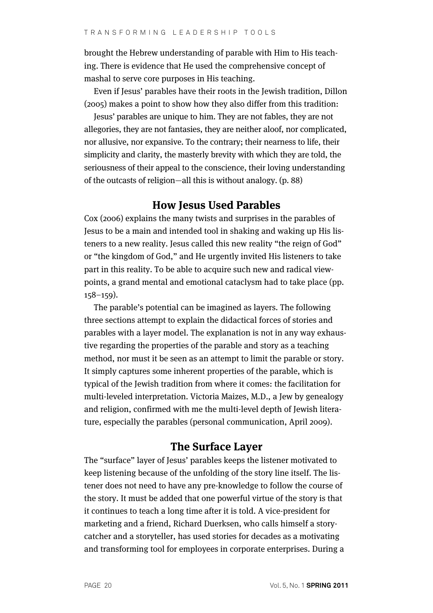brought the Hebrew understanding of parable with Him to His teaching. There is evidence that He used the comprehensive concept of mashal to serve core purposes in His teaching.

Even if Jesus' parables have their roots in the Jewish tradition, Dillon (2005) makes a point to show how they also differ from this tradition:

Jesus' parables are unique to him. They are not fables, they are not allegories, they are not fantasies, they are neither aloof, nor complicated, nor allusive, nor expansive. To the contrary; their nearness to life, their simplicity and clarity, the masterly brevity with which they are told, the seriousness of their appeal to the conscience, their loving understanding of the outcasts of religion—all this is without analogy. (p. 88)

#### **How Jesus Used Parables**

Cox (2006) explains the many twists and surprises in the parables of Jesus to be a main and intended tool in shaking and waking up His listeners to a new reality. Jesus called this new reality "the reign of God" or "the kingdom of God," and He urgently invited His listeners to take part in this reality. To be able to acquire such new and radical viewpoints, a grand mental and emotional cataclysm had to take place (pp. 158–159).

The parable's potential can be imagined as layers. The following three sections attempt to explain the didactical forces of stories and parables with a layer model. The explanation is not in any way exhaustive regarding the properties of the parable and story as a teaching method, nor must it be seen as an attempt to limit the parable or story. It simply captures some inherent properties of the parable, which is typical of the Jewish tradition from where it comes: the facilitation for multi-leveled interpretation. Victoria Maizes, M.D., a Jew by genealogy and religion, confirmed with me the multi-level depth of Jewish literature, especially the parables (personal communication, April 2009).

# **The Surface Layer**

The "surface" layer of Jesus' parables keeps the listener motivated to keep listening because of the unfolding of the story line itself. The listener does not need to have any pre-knowledge to follow the course of the story. It must be added that one powerful virtue of the story is that it continues to teach a long time after it is told. A vice-president for marketing and a friend, Richard Duerksen, who calls himself a storycatcher and a storyteller, has used stories for decades as a motivating and transforming tool for employees in corporate enterprises. During a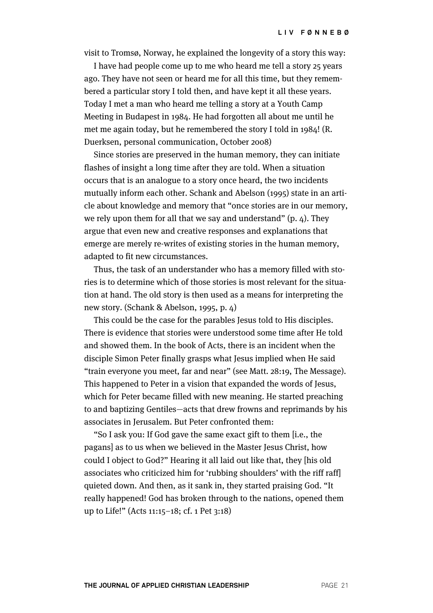visit to Tromsø, Norway, he explained the longevity of a story this way:

I have had people come up to me who heard me tell a story 25 years ago. They have not seen or heard me for all this time, but they remembered a particular story I told then, and have kept it all these years. Today I met a man who heard me telling a story at a Youth Camp Meeting in Budapest in 1984. He had forgotten all about me until he met me again today, but he remembered the story I told in 1984! (R. Duerksen, personal communication, October 2008)

Since stories are preserved in the human memory, they can initiate flashes of insight a long time after they are told. When a situation occurs that is an analogue to a story once heard, the two incidents mutually inform each other. Schank and Abelson (1995) state in an article about knowledge and memory that "once stories are in our memory, we rely upon them for all that we say and understand"  $(p, 4)$ . They argue that even new and creative responses and explanations that emerge are merely re-writes of existing stories in the human memory, adapted to fit new circumstances.

Thus, the task of an understander who has a memory filled with stories is to determine which of those stories is most relevant for the situation at hand. The old story is then used as a means for interpreting the new story. (Schank & Abelson, 1995, p. 4)

This could be the case for the parables Jesus told to His disciples. There is evidence that stories were understood some time after He told and showed them. In the book of Acts, there is an incident when the disciple Simon Peter finally grasps what Jesus implied when He said "train everyone you meet, far and near" (see Matt. 28:19, The Message). This happened to Peter in a vision that expanded the words of Jesus, which for Peter became filled with new meaning. He started preaching to and baptizing Gentiles—acts that drew frowns and reprimands by his associates in Jerusalem. But Peter confronted them:

"So I ask you: If God gave the same exact gift to them [i.e., the pagans] as to us when we believed in the Master Jesus Christ, how could I object to God?" Hearing it all laid out like that, they [his old associates who criticized him for 'rubbing shoulders' with the riff raff] quieted down. And then, as it sank in, they started praising God. "It really happened! God has broken through to the nations, opened them up to Life!" (Acts 11:15–18; cf. 1 Pet 3:18)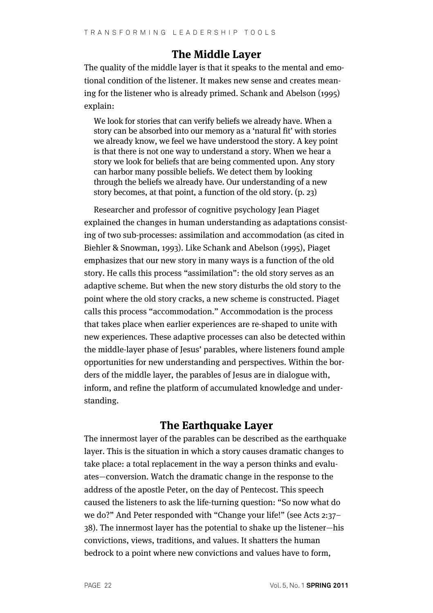# **The Middle Layer**

The quality of the middle layer is that it speaks to the mental and emotional condition of the listener. It makes new sense and creates meaning for the listener who is already primed. Schank and Abelson (1995) explain:

We look for stories that can verify beliefs we already have. When a story can be absorbed into our memory as a 'natural fit' with stories we already know, we feel we have understood the story. A key point is that there is not one way to understand a story. When we hear a story we look for beliefs that are being commented upon. Any story can harbor many possible beliefs. We detect them by looking through the beliefs we already have. Our understanding of a new story becomes, at that point, a function of the old story. (p. 23)

Researcher and professor of cognitive psychology Jean Piaget explained the changes in human understanding as adaptations consisting of two sub-processes: assimilation and accommodation (as cited in Biehler & Snowman, 1993). Like Schank and Abelson (1995), Piaget emphasizes that our new story in many ways is a function of the old story. He calls this process "assimilation": the old story serves as an adaptive scheme. But when the new story disturbs the old story to the point where the old story cracks, a new scheme is constructed. Piaget calls this process "accommodation." Accommodation is the process that takes place when earlier experiences are re-shaped to unite with new experiences. These adaptive processes can also be detected within the middle-layer phase of Jesus' parables, where listeners found ample opportunities for new understanding and perspectives. Within the borders of the middle layer, the parables of Jesus are in dialogue with, inform, and refine the platform of accumulated knowledge and understanding.

# **The Earthquake Layer**

The innermost layer of the parables can be described as the earthquake layer. This is the situation in which a story causes dramatic changes to take place: a total replacement in the way a person thinks and evaluates—conversion. Watch the dramatic change in the response to the address of the apostle Peter, on the day of Pentecost. This speech caused the listeners to ask the life-turning question: "So now what do we do?" And Peter responded with "Change your life!" (see Acts 2:37– 38). The innermost layer has the potential to shake up the listener—his convictions, views, traditions, and values. It shatters the human bedrock to a point where new convictions and values have to form,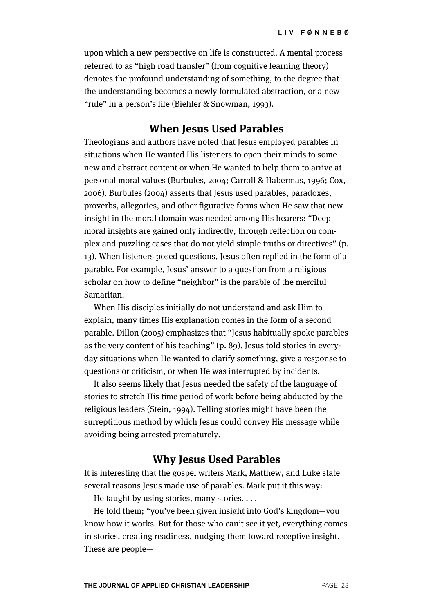upon which a new perspective on life is constructed. A mental process referred to as "high road transfer" (from cognitive learning theory) denotes the profound understanding of something, to the degree that the understanding becomes a newly formulated abstraction, or a new "rule" in a person's life (Biehler & Snowman, 1993).

## **When Jesus Used Parables**

Theologians and authors have noted that Jesus employed parables in situations when He wanted His listeners to open their minds to some new and abstract content or when He wanted to help them to arrive at personal moral values (Burbules, 2004; Carroll & Habermas, 1996; Cox, 2006). Burbules (2004) asserts that Jesus used parables, paradoxes, proverbs, allegories, and other figurative forms when He saw that new insight in the moral domain was needed among His hearers: "Deep moral insights are gained only indirectly, through reflection on complex and puzzling cases that do not yield simple truths or directives" (p. 13). When listeners posed questions, Jesus often replied in the form of a parable. For example, Jesus' answer to a question from a religious scholar on how to define "neighbor" is the parable of the merciful Samaritan.

When His disciples initially do not understand and ask Him to explain, many times His explanation comes in the form of a second parable. Dillon (2005) emphasizes that "Jesus habitually spoke parables as the very content of his teaching" (p. 89). Jesus told stories in everyday situations when He wanted to clarify something, give a response to questions or criticism, or when He was interrupted by incidents.

It also seems likely that Jesus needed the safety of the language of stories to stretch His time period of work before being abducted by the religious leaders (Stein, 1994). Telling stories might have been the surreptitious method by which Jesus could convey His message while avoiding being arrested prematurely.

## **Why Jesus Used Parables**

It is interesting that the gospel writers Mark, Matthew, and Luke state several reasons Jesus made use of parables. Mark put it this way:

He taught by using stories, many stories. . . .

He told them; "you've been given insight into God's kingdom—you know how it works. But for those who can't see it yet, everything comes in stories, creating readiness, nudging them toward receptive insight. These are people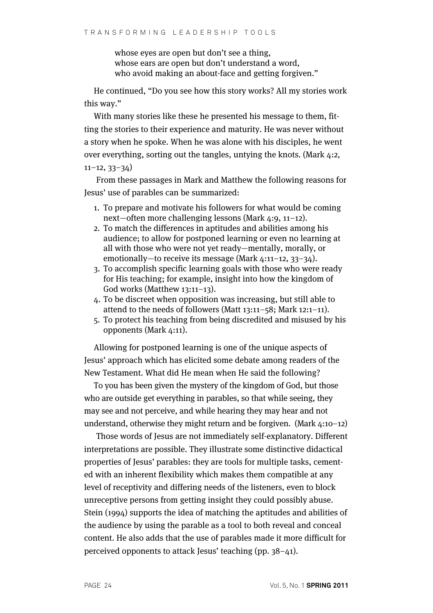whose eyes are open but don't see a thing, whose ears are open but don't understand a word, who avoid making an about-face and getting forgiven."

He continued, "Do you see how this story works? All my stories work this way."

With many stories like these he presented his message to them, fitting the stories to their experience and maturity. He was never without a story when he spoke. When he was alone with his disciples, he went over everything, sorting out the tangles, untying the knots. (Mark 4:2, 11–12, 33–34)

From these passages in Mark and Matthew the following reasons for Jesus' use of parables can be summarized:

- 1. To prepare and motivate his followers for what would be coming next—often more challenging lessons (Mark 4:9, 11–12).
- 2. To match the differences in aptitudes and abilities among his audience; to allow for postponed learning or even no learning at all with those who were not yet ready—mentally, morally, or emotionally—to receive its message (Mark 4:11–12, 33–34).
- 3. To accomplish specific learning goals with those who were ready for His teaching; for example, insight into how the kingdom of God works (Matthew 13:11–13).
- 4. To be discreet when opposition was increasing, but still able to attend to the needs of followers (Matt 13:11–58; Mark 12:1–11).
- 5. To protect his teaching from being discredited and misused by his opponents (Mark 4:11).

Allowing for postponed learning is one of the unique aspects of Jesus' approach which has elicited some debate among readers of the New Testament. What did He mean when He said the following?

To you has been given the mystery of the kingdom of God, but those who are outside get everything in parables, so that while seeing, they may see and not perceive, and while hearing they may hear and not understand, otherwise they might return and be forgiven. (Mark 4:10–12)

Those words of Jesus are not immediately self-explanatory. Different interpretations are possible. They illustrate some distinctive didactical properties of Jesus' parables: they are tools for multiple tasks, cemented with an inherent flexibility which makes them compatible at any level of receptivity and differing needs of the listeners, even to block unreceptive persons from getting insight they could possibly abuse. Stein (1994) supports the idea of matching the aptitudes and abilities of the audience by using the parable as a tool to both reveal and conceal content. He also adds that the use of parables made it more difficult for perceived opponents to attack Jesus' teaching (pp. 38–41).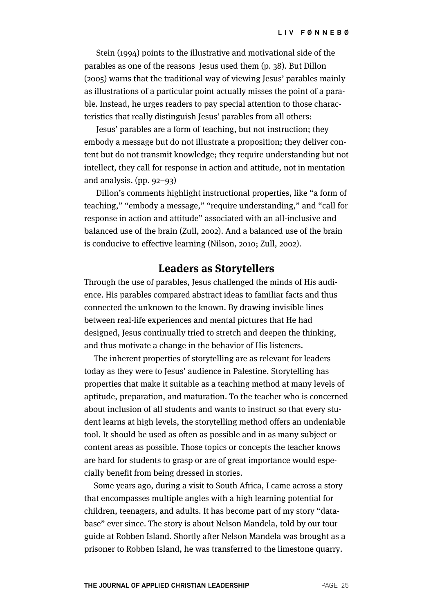Stein (1994) points to the illustrative and motivational side of the parables as one of the reasons Jesus used them (p. 38). But Dillon (2005) warns that the traditional way of viewing Jesus' parables mainly as illustrations of a particular point actually misses the point of a parable. Instead, he urges readers to pay special attention to those characteristics that really distinguish Jesus' parables from all others:

Jesus' parables are a form of teaching, but not instruction; they embody a message but do not illustrate a proposition; they deliver content but do not transmit knowledge; they require understanding but not intellect, they call for response in action and attitude, not in mentation and analysis. (pp. 92–93)

Dillon's comments highlight instructional properties, like "a form of teaching," "embody a message," "require understanding," and "call for response in action and attitude" associated with an all-inclusive and balanced use of the brain (Zull, 2002). And a balanced use of the brain is conducive to effective learning (Nilson, 2010; Zull, 2002).

## **Leaders as Storytellers**

Through the use of parables, Jesus challenged the minds of His audience. His parables compared abstract ideas to familiar facts and thus connected the unknown to the known. By drawing invisible lines between real-life experiences and mental pictures that He had designed, Jesus continually tried to stretch and deepen the thinking, and thus motivate a change in the behavior of His listeners.

The inherent properties of storytelling are as relevant for leaders today as they were to Jesus' audience in Palestine. Storytelling has properties that make it suitable as a teaching method at many levels of aptitude, preparation, and maturation. To the teacher who is concerned about inclusion of all students and wants to instruct so that every student learns at high levels, the storytelling method offers an undeniable tool. It should be used as often as possible and in as many subject or content areas as possible. Those topics or concepts the teacher knows are hard for students to grasp or are of great importance would especially benefit from being dressed in stories.

Some years ago, during a visit to South Africa, I came across a story that encompasses multiple angles with a high learning potential for children, teenagers, and adults. It has become part of my story "database" ever since. The story is about Nelson Mandela, told by our tour guide at Robben Island. Shortly after Nelson Mandela was brought as a prisoner to Robben Island, he was transferred to the limestone quarry.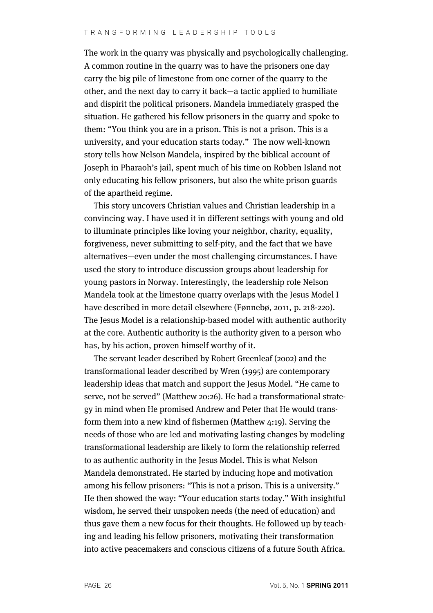The work in the quarry was physically and psychologically challenging. A common routine in the quarry was to have the prisoners one day carry the big pile of limestone from one corner of the quarry to the other, and the next day to carry it back—a tactic applied to humiliate and dispirit the political prisoners. Mandela immediately grasped the situation. He gathered his fellow prisoners in the quarry and spoke to them: "You think you are in a prison. This is not a prison. This is a university, and your education starts today." The now well-known story tells how Nelson Mandela, inspired by the biblical account of Joseph in Pharaoh's jail, spent much of his time on Robben Island not only educating his fellow prisoners, but also the white prison guards of the apartheid regime.

This story uncovers Christian values and Christian leadership in a convincing way. I have used it in different settings with young and old to illuminate principles like loving your neighbor, charity, equality, forgiveness, never submitting to self-pity, and the fact that we have alternatives—even under the most challenging circumstances. I have used the story to introduce discussion groups about leadership for young pastors in Norway. Interestingly, the leadership role Nelson Mandela took at the limestone quarry overlaps with the Jesus Model I have described in more detail elsewhere (Fønnebø, 2011, p. 218-220). The Jesus Model is a relationship-based model with authentic authority at the core. Authentic authority is the authority given to a person who has, by his action, proven himself worthy of it.

The servant leader described by Robert Greenleaf (2002) and the transformational leader described by Wren (1995) are contemporary leadership ideas that match and support the Jesus Model. "He came to serve, not be served" (Matthew 20:26). He had a transformational strategy in mind when He promised Andrew and Peter that He would transform them into a new kind of fishermen (Matthew 4:19). Serving the needs of those who are led and motivating lasting changes by modeling transformational leadership are likely to form the relationship referred to as authentic authority in the Jesus Model. This is what Nelson Mandela demonstrated. He started by inducing hope and motivation among his fellow prisoners: "This is not a prison. This is a university." He then showed the way: "Your education starts today." With insightful wisdom, he served their unspoken needs (the need of education) and thus gave them a new focus for their thoughts. He followed up by teaching and leading his fellow prisoners, motivating their transformation into active peacemakers and conscious citizens of a future South Africa.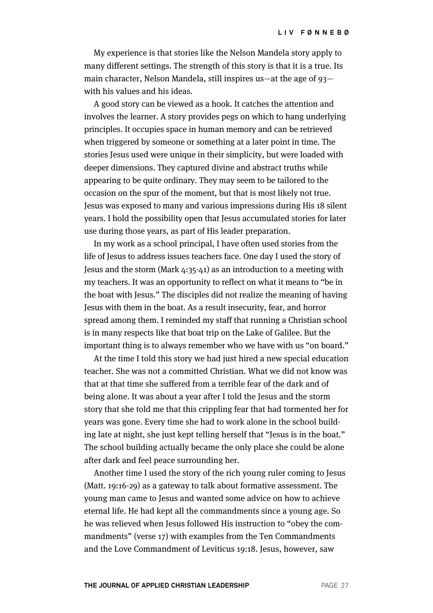My experience is that stories like the Nelson Mandela story apply to many different settings. The strength of this story is that it is a true. Its main character, Nelson Mandela, still inspires us—at the age of 93 with his values and his ideas.

A good story can be viewed as a hook. It catches the attention and involves the learner. A story provides pegs on which to hang underlying principles. It occupies space in human memory and can be retrieved when triggered by someone or something at a later point in time. The stories Jesus used were unique in their simplicity, but were loaded with deeper dimensions. They captured divine and abstract truths while appearing to be quite ordinary. They may seem to be tailored to the occasion on the spur of the moment, but that is most likely not true. Jesus was exposed to many and various impressions during His 18 silent years. I hold the possibility open that Jesus accumulated stories for later use during those years, as part of His leader preparation.

In my work as a school principal, I have often used stories from the life of Jesus to address issues teachers face. One day I used the story of Jesus and the storm (Mark 4:35-41) as an introduction to a meeting with my teachers. It was an opportunity to reflect on what it means to "be in the boat with Jesus." The disciples did not realize the meaning of having Jesus with them in the boat. As a result insecurity, fear, and horror spread among them. I reminded my staff that running a Christian school is in many respects like that boat trip on the Lake of Galilee. But the important thing is to always remember who we have with us "on board."

At the time I told this story we had just hired a new special education teacher. She was not a committed Christian. What we did not know was that at that time she suffered from a terrible fear of the dark and of being alone. It was about a year after I told the Jesus and the storm story that she told me that this crippling fear that had tormented her for years was gone. Every time she had to work alone in the school building late at night, she just kept telling herself that "Jesus is in the boat." The school building actually became the only place she could be alone after dark and feel peace surrounding her.

Another time I used the story of the rich young ruler coming to Jesus (Matt. 19:16-29) as a gateway to talk about formative assessment. The young man came to Jesus and wanted some advice on how to achieve eternal life. He had kept all the commandments since a young age. So he was relieved when Jesus followed His instruction to "obey the commandments" (verse 17) with examples from the Ten Commandments and the Love Commandment of Leviticus 19:18. Jesus, however, saw